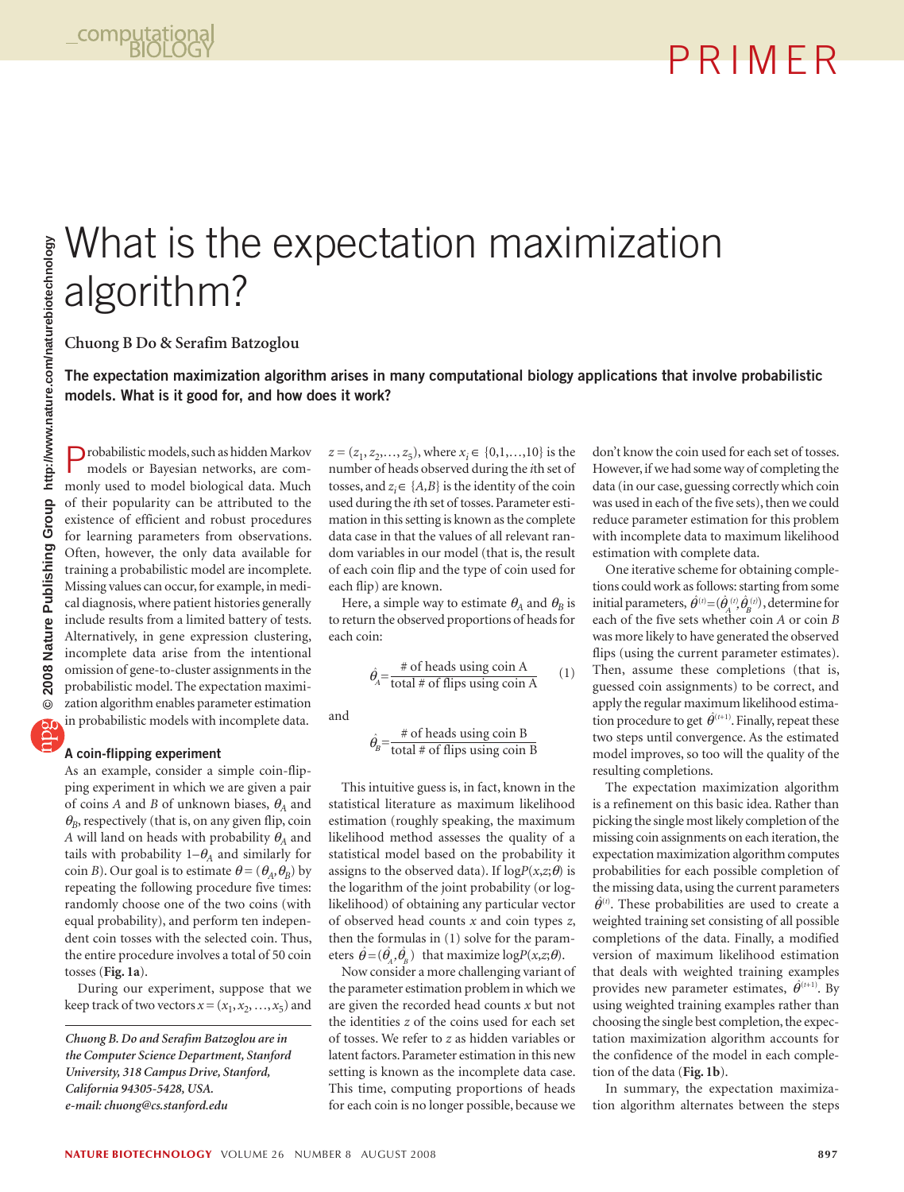# What is the expectation maximization algorithm?

**Chuong B Do & Serafim Batzoglou**

**The expectation maximization algorithm arises in many computational biology applications that involve probabilistic models. What is it good for, and how does it work?**

Probabilistic models, such as hidden Markov models or Bayesian networks, are commonly used to model biological data. Much of their popularity can be attributed to the existence of efficient and robust procedures for learning parameters from observations. Often, however, the only data available for training a probabilistic model are incomplete. Missing values can occur, for example, in medical diagnosis, where patient histories generally include results from a limited battery of tests. Alternatively, in gene expression clustering, incomplete data arise from the intentional omission of gene-to-cluster assignments in the probabilistic model. The expectation maximization algorithm enables parameter estimation in probabilistic models with incomplete data.

## **A coin-flipping experiment**

As an example, consider a simple coin-flipping experiment in which we are given a pair of coins *A* and *B* of unknown biases,  $\theta_A$  and  $\theta_B$ , respectively (that is, on any given flip, coin *A* will land on heads with probability  $\theta_A$  and tails with probability  $1-\theta_A$  and similarly for coin *B*). Our goal is to estimate  $\theta = (\theta_A, \theta_B)$  by repeating the following procedure five times: randomly choose one of the two coins (with equal probability), and perform ten independent coin tosses with the selected coin. Thus, the entire procedure involves a total of 50 coin tosses (**Fig. 1a**).

During our experiment, suppose that we keep track of two vectors  $x = (x_1, x_2, \ldots, x_5)$  and  $z = (z_1, z_2, \ldots, z_5)$ , where  $x_i \in \{0, 1, \ldots, 10\}$  is the number of heads observed during the *i*th set of tosses, and  $z_i \in \{A, B\}$  is the identity of the coin used during the *i*th set of tosses. Parameter estimation in this setting is known as the complete data case in that the values of all relevant random variables in our model (that is, the result of each coin flip and the type of coin used for each flip) are known.

Here, a simple way to estimate  $\theta_A$  and  $\theta_B$  is to return the observed proportions of heads for each coin:

$$
\hat{\theta}_A = \frac{\text{\# of heads using coin A}}{\text{total \# of flips using coin A}} \qquad (1)
$$

and

$$
\hat{\theta}_B = \frac{\text{\# of heads using coin B}}{\text{total \# of flips using coin B}}
$$

This intuitive guess is, in fact, known in the statistical literature as maximum likelihood estimation (roughly speaking, the maximum likelihood method assesses the quality of a statistical model based on the probability it assigns to the observed data). If  $logP(x,z;\theta)$  is the logarithm of the joint probability (or loglikelihood) of obtaining any particular vector of observed head counts *x* and coin types *z*, then the formulas in (1) solve for the parameters  $\hat{\theta} = (\hat{\theta}_A, \hat{\theta}_B)$  that maximize  $logP(x, z; \theta)$ .

Now consider a more challenging variant of the parameter estimation problem in which we are given the recorded head counts *x* but not the identities *z* of the coins used for each set of tosses. We refer to *z* as hidden variables or latent factors. Parameter estimation in this new setting is known as the incomplete data case. This time, computing proportions of heads for each coin is no longer possible, because we

don't know the coin used for each set of tosses. However, if we had some way of completing the data (in our case, guessing correctly which coin was used in each of the five sets), then we could reduce parameter estimation for this problem with incomplete data to maximum likelihood estimation with complete data.

One iterative scheme for obtaining completions could work as follows: starting from some initial parameters,  $\hat{\theta}^{(t)} = (\hat{\theta}_A^{(t)}, \hat{\theta}_B^{(t)})$ , determine for each of the five sets whether coin *A* or coin *B* was more likely to have generated the observed flips (using the current parameter estimates). Then, assume these completions (that is, guessed coin assignments) to be correct, and apply the regular maximum likelihood estimation procedure to get  $\hat{\theta}^{(t+1)}$ . Finally, repeat these two steps until convergence. As the estimated model improves, so too will the quality of the resulting completions.

The expectation maximization algorithm is a refinement on this basic idea. Rather than picking the single most likely completion of the missing coin assignments on each iteration, the expectation maximization algorithm computes probabilities for each possible completion of the missing data, using the current parameters  $\hat{\theta}^{(t)}$ . These probabilities are used to create a weighted training set consisting of all possible completions of the data. Finally, a modified version of maximum likelihood estimation that deals with weighted training examples provides new parameter estimates,  $\hat{\theta}^{(t+1)}$ . By using weighted training examples rather than choosing the single best completion, the expectation maximization algorithm accounts for the confidence of the model in each completion of the data (**Fig. 1b**).

In summary, the expectation maximization algorithm alternates between the steps

*Chuong B. Do and Serafim Batzoglou are in the Computer Science Department, Stanford University, 318 Campus Drive, Stanford, California 94305-5428, USA. e-mail: [chuong@cs.stanford.edu](mailto:chuong@cs.stanford.edu)*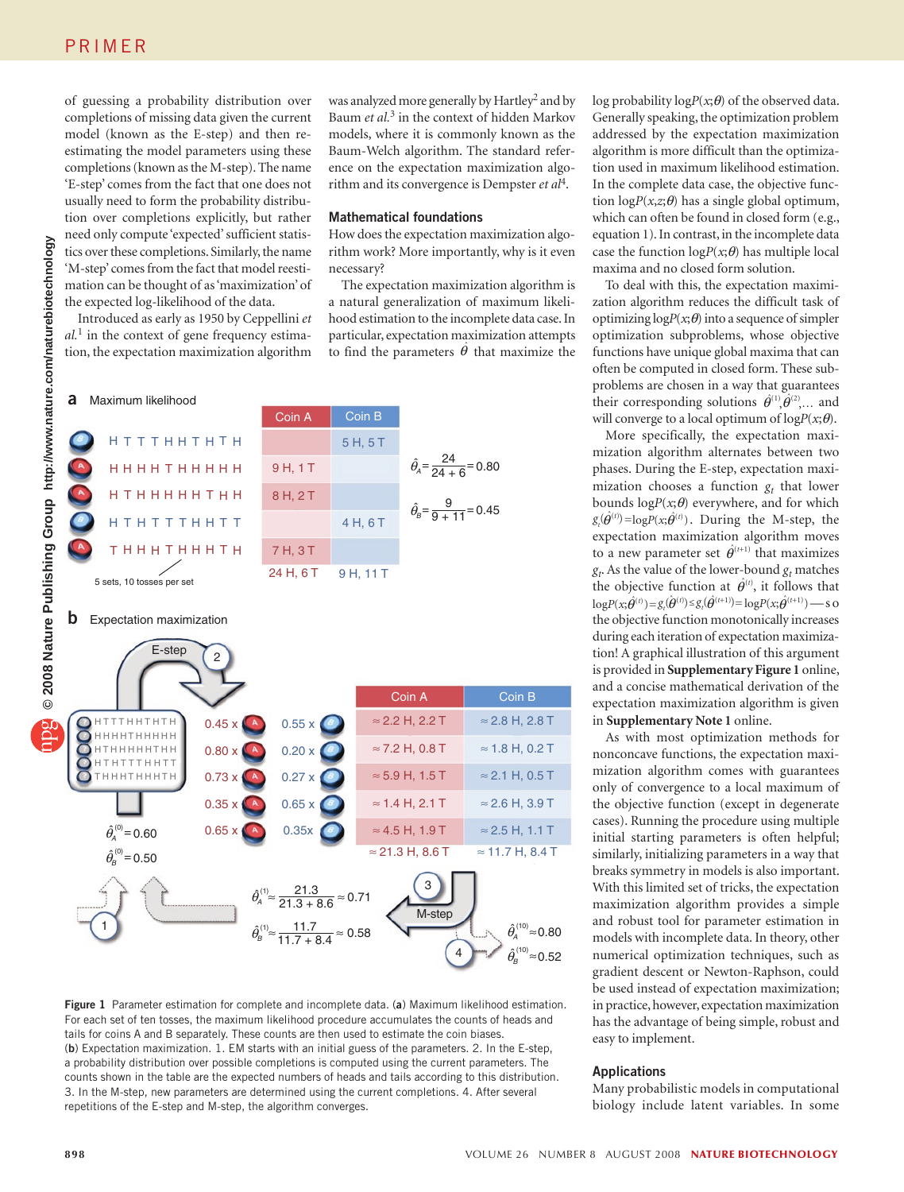of guessing a probability distribution over completions of missing data given the current model (known as the E-step) and then reestimating the model parameters using these completions (known as the M-step). The name 'E-step' comes from the fact that one does not usually need to form the probability distribution over completions explicitly, but rather need only compute 'expected' sufficient statistics over these completions. Similarly, the name 'M-step' comes from the fact that model reestimation can be thought of as 'maximization' of the expected log-likelihood of the data.

Introduced as early as 1950 by Ceppellini *et al.*1 in the context of gene frequency estimation, the expectation maximization algorithm

was analyzed more generally by Hartley<sup>2</sup> and by Baum *et al.*3 in the context of hidden Markov models, where it is commonly known as the Baum-Welch algorithm. The standard reference on the expectation maximization algorithm and its convergence is Dempster *et al*4.

## **Mathematical foundations**

How does the expectation maximization algorithm work? More importantly, why is it even necessary?

The expectation maximization algorithm is a natural generalization of maximum likelihood estimation to the incomplete data case. In particular, expectation maximization attempts to find the parameters  $\hat{\theta}$  that maximize the



**Figure 1** Parameter estimation for complete and incomplete data. (**a**) Maximum likelihood estimation. For each set of ten tosses, the maximum likelihood procedure accumulates the counts of heads and tails for coins A and B separately. These counts are then used to estimate the coin biases. (**b**) Expectation maximization. 1. EM starts with an initial guess of the parameters. 2. In the E-step, a probability distribution over possible completions is computed using the current parameters. The counts shown in the table are the expected numbers of heads and tails according to this distribution. 3. In the M-step, new parameters are determined using the current completions. 4. After several repetitions of the E-step and M-step, the algorithm converges.

log probability  $logP(x; \theta)$  of the observed data. Generally speaking, the optimization problem addressed by the expectation maximization algorithm is more difficult than the optimization used in maximum likelihood estimation. In the complete data case, the objective function  $logP(x,z;\theta)$  has a single global optimum, which can often be found in closed form (e.g., equation 1). In contrast, in the incomplete data case the function  $logP(x;\theta)$  has multiple local maxima and no closed form solution.

To deal with this, the expectation maximization algorithm reduces the difficult task of optimizing  $logP(x;\theta)$  into a sequence of simpler optimization subproblems, whose objective functions have unique global maxima that can often be computed in closed form. These subproblems are chosen in a way that guarantees their corresponding solutions  $\hat{\theta}^{(1)}$ ,  $\hat{\theta}^{(2)}$ ,... and will converge to a local optimum of  $logP(x;\theta)$ .

More specifically, the expectation maximization algorithm alternates between two phases. During the E-step, expectation maximization chooses a function  $g_t$  that lower bounds  $logP(x;\theta)$  everywhere, and for which  $g_t(\hat{\theta}^{(t)}) = \log P(x; \hat{\theta}^{(t)})$ . During the M-step, the expectation maximization algorithm moves to a new parameter set  $\hat{\theta}^{(t+1)}$  that maximizes  $g_t$ . As the value of the lower-bound  $g_t$  matches the objective function at  $\hat{\theta}^{(t)}$ , it follows that  $logP(x; \hat{\theta}^{(t)}) = g_t(\hat{\theta}^{(t)}) \leq g_t(\hat{\theta}^{(t+1)}) = logP(x; \hat{\theta}^{(t+1)})$  — s o the objective function monotonically increases during each iteration of expectation maximization! A graphical illustration of this argument is provided in **Supplementary Figure 1** online, and a concise mathematical derivation of the expectation maximization algorithm is given in **Supplementary Note 1** online.

As with most optimization methods for nonconcave functions, the expectation maximization algorithm comes with guarantees only of convergence to a local maximum of the objective function (except in degenerate cases). Running the procedure using multiple initial starting parameters is often helpful; similarly, initializing parameters in a way that breaks symmetry in models is also important. With this limited set of tricks, the expectation maximization algorithm provides a simple and robust tool for parameter estimation in models with incomplete data. In theory, other numerical optimization techniques, such as gradient descent or Newton-Raphson, could be used instead of expectation maximization; in practice, however, expectation maximization has the advantage of being simple, robust and easy to implement.

#### **Applications**

Many probabilistic models in computational biology include latent variables. In some